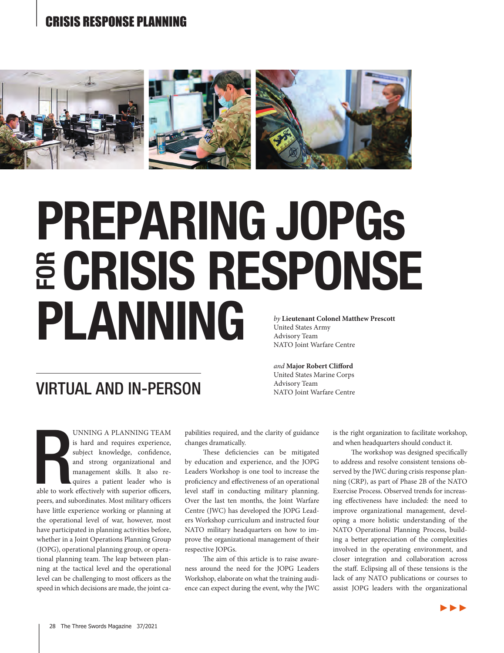

# PREPARING JOPGS<br>**E CRISIS RESPONSE E CRISIS RI<br>PLANNING** *by* **Lieutenant Colonel Matthew Prescott** United States Army Advisory Team

## VIRTUAL AND IN-PERSON

NATO Joint Warfare Centre

*and* **Major Robert Clifford** United States Marine Corps Advisory Team NATO Joint Warfare Centre

able to work UNNING A PLANNING TEAM is hard and requires experience, subject knowledge, confidence, and strong organizational and management skills. It also requires a patient leader who is able to work effectively with superior officers, peers, and subordinates. Most military officers have little experience working or planning at the operational level of war, however, most have participated in planning activities before, whether in a Joint Operations Planning Group (JOPG), operational planning group, or operational planning team. The leap between planning at the tactical level and the operational level can be challenging to most officers as the speed in which decisions are made, the joint ca-

pabilities required, and the clarity of guidance changes dramatically.

These deficiencies can be mitigated by education and experience, and the JOPG Leaders Workshop is one tool to increase the proficiency and effectiveness of an operational level staff in conducting military planning. Over the last ten months, the Joint Warfare Centre (JWC) has developed the JOPG Leaders Workshop curriculum and instructed four NATO military headquarters on how to improve the organizational management of their respective JOPGs.

The aim of this article is to raise awareness around the need for the JOPG Leaders Workshop, elaborate on what the training audience can expect during the event, why the JWC is the right organization to facilitate workshop, and when headquarters should conduct it.

The workshop was designed specifically to address and resolve consistent tensions observed by the JWC during crisis response planning (CRP), as part of Phase 2B of the NATO Exercise Process. Observed trends for increasing effectiveness have included: the need to improve organizational management, developing a more holistic understanding of the NATO Operational Planning Process, building a better appreciation of the complexities involved in the operating environment, and closer integration and collaboration across the staff. Eclipsing all of these tensions is the lack of any NATO publications or courses to assist JOPG leaders with the organizational

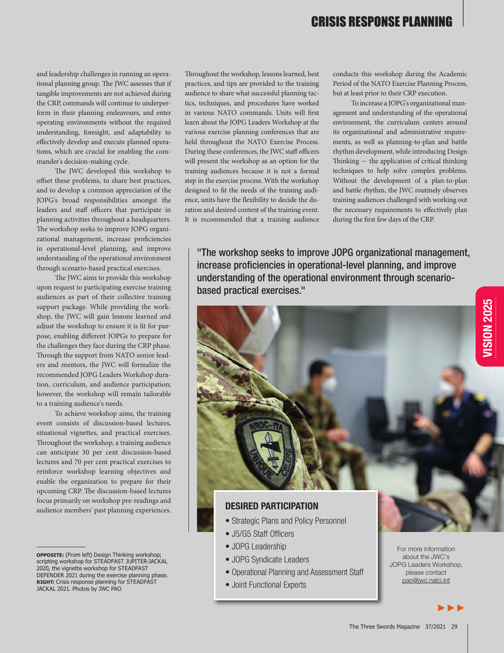and leadership challenges in running an operational planning group. The JWC assesses that if tangible improvements are not achieved during the CRP, commands will continue to underperform in their planning endeavours, and enter operating environments without the required understanding, foresight, and adaptability to effectively develop and execute planned operations, which are crucial for enabling the commander's decision-making cycle.

The JWC developed this workshop to offset these problems, to share best practices, and to develop a common appreciation of the JOPG's broad responsibilities amongst the leaders and staff officers that participate in planning activities throughout a headquarters. The workshop seeks to improve JOPG organizational management, increase proficiencies in operational-level planning, and improve understanding of the operational environment through scenario-based practical exercises.

The JWC aims to provide this workshop upon request to participating exercise training audiences as part of their collective training support package. While providing the workshop, the JWC will gain lessons learned and adjust the workshop to ensure it is fit for purpose, enabling different JOPGs to prepare for the challenges they face during the CRP phase. Through the support from NATO senior leaders and mentors, the JWC will formalize the recommended JOPG Leaders Workshop duration, curriculum, and audience participation; however, the workshop will remain tailorable to a training audience's needs.

To achieve workshop aims, the training event consists of discussion-based lectures, situational vignettes, and practical exercises. Throughout the workshop, a training audience can anticipate 30 per cent discussion-based lectures and 70 per cent practical exercises to reinforce workshop learning objectives and enable the organization to prepare for their upcoming CRP. The discussion-based lectures focus primarily on workshop pre-readings and audience members' past planning experiences.

Throughout the workshop, lessons learned, best practices, and tips are provided to the training audience to share what successful planning tactics, techniques, and procedures have worked in various NATO commands. Units will first learn about the JOPG Leaders Workshop at the various exercise planning conferences that are held throughout the NATO Exercise Process. During these conferences, the JWC staff officers will present the workshop as an option for the training audiences because it is not a formal step in the exercise process. With the workshop designed to fit the needs of the training audience, units have the flexibility to decide the duration and desired content of the training event. It is recommended that a training audience

conducts this workshop during the Academic Period of the NATO Exercise Planning Process, but at least prior to their CRP execution.

To increase a JOPG's organizational management and understanding of the operational environment, the curriculum centers around its organizational and administrative requirements, as well as planning-to-plan and battle rhythm development, while introducing Design Thinking — the application of critical thinking techniques to help solve complex problems. Without the development of a plan-to-plan and battle rhythm, the JWC routinely observes training audiences challenged with working out the necessary requirements to effectively plan during the first few days of the CRP.

"The workshop seeks to improve JOPG organizational management, increase proficiencies in operational-level planning, and improve understanding of the operational environment through scenariobased practical exercises."



#### DESIRED PARTICIPATION

- Strategic Plans and Policy Personnel
- J5/G5 Staff Officers
- JOPG Leadership
- JOPG Syndicate Leaders
- Operational Planning and Assessment Staff
- Joint Functional Experts

For more information about the JWC's JOPG Leaders Workshop, please contact pao@jwc.nato.int

►►►

**OPPOSITE:** (From left) Design Thinking workshop; scripting workshop for STEADFAST JUPITER-JACKAL 2020, the vignette workshop for STEADFAST DEFENDER 2021 during the exercise planning phase. **RIGHT:** Crisis response planning for STEADFAST JACKAL 2021. Photos by JWC PAO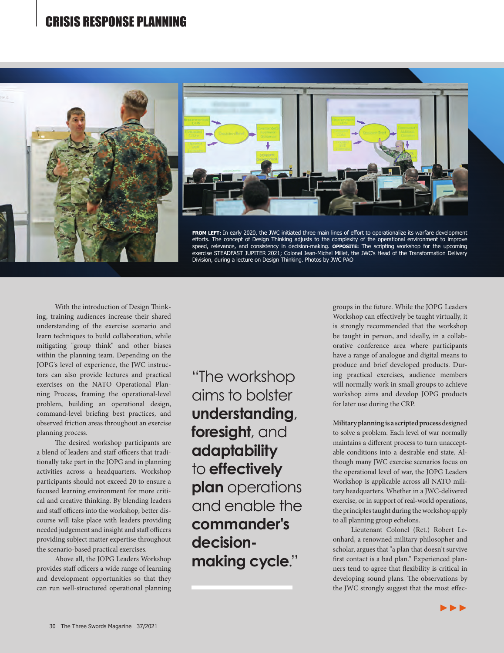



**FROM LEFT:** In early 2020, the JWC initiated three main lines of effort to operationalize its warfare development efforts. The concept of Design Thinking adjusts to the complexity of the operational environment to improve speed, relevance, and consistency in decision-making. **OPPOSITE:** The scripting workshop for the upcoming<br>exercise STEADFAST JUPITER 2021; Colonel Jean-Michel Millet, the JWC's Head of the Transformation Delivery Division, during a lecture on Design Thinking. Photos by JWC PAO

With the introduction of Design Thinking, training audiences increase their shared understanding of the exercise scenario and learn techniques to build collaboration, while mitigating "group think" and other biases within the planning team. Depending on the JOPG's level of experience, the JWC instructors can also provide lectures and practical exercises on the NATO Operational Planning Process, framing the operational-level problem, building an operational design, command-level briefing best practices, and observed friction areas throughout an exercise planning process.

The desired workshop participants are a blend of leaders and staff officers that traditionally take part in the JOPG and in planning activities across a headquarters. Workshop participants should not exceed 20 to ensure a focused learning environment for more critical and creative thinking. By blending leaders and staff officers into the workshop, better discourse will take place with leaders providing needed judgement and insight and staff officers providing subject matter expertise throughout the scenario-based practical exercises.

Above all, the JOPG Leaders Workshop provides staff officers a wide range of learning and development opportunities so that they can run well-structured operational planning

"The workshop aims to bolster **understanding**, **foresight**, and **adaptability** to **effectively plan** operations and enable the **commander's decisionmaking cycle**."

groups in the future. While the JOPG Leaders Workshop can effectively be taught virtually, it is strongly recommended that the workshop be taught in person, and ideally, in a collaborative conference area where participants have a range of analogue and digital means to produce and brief developed products. During practical exercises, audience members will normally work in small groups to achieve workshop aims and develop JOPG products for later use during the CRP.

**Military planning is a scriptedprocess** designed to solve a problem. Each level of war normally maintains a different process to turn unacceptable conditions into a desirable end state. Although many JWC exercise scenarios focus on the operational level of war, the JOPG Leaders Workshop is applicable across all NATO military headquarters. Whether in a JWC-delivered exercise, or in support of real-world operations, the principles taught during the workshop apply to all planning group echelons.

Lieutenant Colonel (Ret.) Robert Leonhard, a renowned military philosopher and scholar, argues that "a plan that doesn't survive first contact is a bad plan." Experienced planners tend to agree that flexibility is critical in developing sound plans. The observations by the JWC strongly suggest that the most effec-